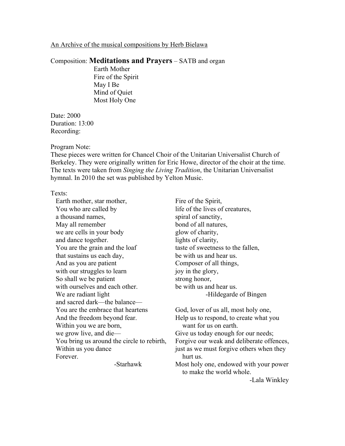## An Archive of the musical compositions by Herb Bielawa

## Composition: **Meditations and Prayers** – SATB and organ

Earth Mother Fire of the Spirit May I Be Mind of Quiet Most Holy One

Date: 2000 Duration: 13:00 Recording:

## Program Note:

These pieces were written for Chancel Choir of the Unitarian Universalist Church of Berkeley. They were originally written for Eric Howe, director of the choir at the time. The texts were taken from *Singing the Living Tradition*, the Unitarian Universalist hymnal. In 2010 the set was published by Yelton Music.

## Texts:

Earth mother, star mother, You who are called by a thousand names, May all remember we are cells in your body and dance together. You are the grain and the loaf that sustains us each day, And as you are patient with our struggles to learn So shall we be patient with ourselves and each other. We are radiant light and sacred dark—the balance— You are the embrace that heartens And the freedom beyond fear. Within you we are born, we grow live, and die— You bring us around the circle to rebirth, Within us you dance Forever.

-Starhawk

Fire of the Spirit, life of the lives of creatures, spiral of sanctity, bond of all natures, glow of charity, lights of clarity, taste of sweetness to the fallen, be with us and hear us. Composer of all things, joy in the glory, strong honor, be with us and hear us. -Hildegarde of Bingen

God, lover of us all, most holy one, Help us to respond, to create what you want for us on earth. Give us today enough for our needs; Forgive our weak and deliberate offences, just as we must forgive others when they hurt us. Most holy one, endowed with your power to make the world whole. -Lala Winkley